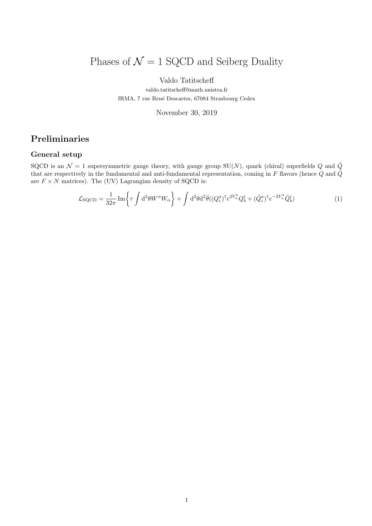# Phases of  $\mathcal{N}=1$  SQCD and Seiberg Duality

### Valdo Tatitscheff

valdo.tatitscheff@math.unistra.fr IRMA, 7 rue René Descartes, 67084 Strasbourg Cedex

November 30, 2019

# Preliminaries

### General setup

SQCD is an  $\mathcal{N} = 1$  supersymmetric gauge theory, with gauge group SU(N), quark (chiral) superfields Q and  $\tilde{Q}$ that are respectively in the fundamental and anti-fundamental representation, coming in F flavors (hence Q and  $\tilde{Q}$ are  $F \times N$  matrices). The (UV) Lagrangian density of SQCD is:

$$
\mathcal{L}_{\text{SQCD}} = \frac{1}{32\pi} \operatorname{Im} \left\{ \tau \int d^2\theta W^\alpha W_\alpha \right\} + \int d^2\theta d^2\bar{\theta} ( (Q_i^a)^\dagger e^{2V_a^b} Q_b^i + (\tilde{Q}_i^a)^\dagger e^{-2V_a^b} \tilde{Q}_b^i ) \tag{1}
$$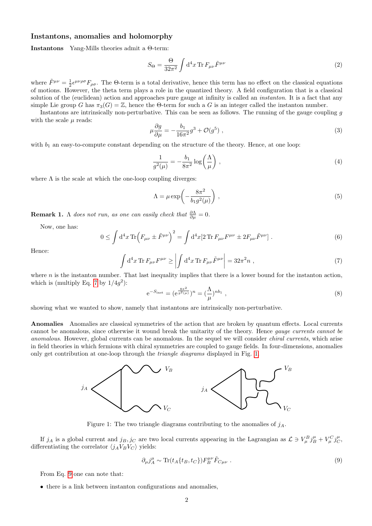#### Instantons, anomalies and holomorphy

Instantons Yang-Mills theories admit a Θ-term:

$$
S_{\Theta} = \frac{\Theta}{32\pi^2} \int d^4x \,\text{Tr}\, F_{\mu\nu} \tilde{F}^{\mu\nu} \tag{2}
$$

where  $\tilde{F}^{\mu\nu} = \frac{1}{2} \epsilon^{\mu\nu\rho\sigma} F_{\rho\sigma}$ . The  $\Theta$ -term is a total derivative, hence this term has no effect on the classical equations of motions. However, the theta term plays a role in the quantized theory. A field configuration that is a classical solution of the (euclidean) action and approaches pure gauge at infinity is called an *instanton*. It is a fact that any simple Lie group G has  $\pi_3(G) = \mathbb{Z}$ , hence the Θ-term for such a G is an integer called the instanton number.

Instantons are intrinsically non-perturbative. This can be seen as follows. The running of the gauge coupling  $g$ with the scale  $\mu$  reads:

$$
\mu \frac{\partial g}{\partial \mu} = -\frac{b_1}{16\pi^2} g^3 + \mathcal{O}(g^5) , \qquad (3)
$$

with  $b_1$  an easy-to-compute constant depending on the structure of the theory. Hence, at one loop:

$$
\frac{1}{g^2(\mu)} = -\frac{b_1}{8\pi^2} \log\left(\frac{\Lambda}{\mu}\right) \,,\tag{4}
$$

where  $\Lambda$  is the scale at which the one-loop coupling diverges:

$$
\Lambda = \mu \exp\left(-\frac{8\pi^2}{b_1 g^2(\mu)}\right),\tag{5}
$$

**Remark 1.**  $\Lambda$  does not run, as one can easily check that  $\frac{\partial \Lambda}{\partial \mu} = 0$ .

Now, one has:

$$
0 \leq \int d^4x \operatorname{Tr}\left(F_{\mu\nu} \pm \tilde{F}^{\mu\nu}\right)^2 = \int d^4x \left[2 \operatorname{Tr} F_{\mu\nu} F^{\mu\nu} \pm 2F_{\mu\nu} \tilde{F}^{\mu\nu}\right]. \tag{6}
$$

Hence:

<span id="page-1-0"></span>
$$
\int d^4x \operatorname{Tr} F_{\mu\nu} F^{\mu\nu} \ge \left| \int d^4x \operatorname{Tr} F_{\mu\nu} \tilde{F}^{\mu\nu} \right| = 32\pi^2 n , \qquad (7)
$$

where  $n$  is the instanton number. That last inequality implies that there is a lower bound for the instanton action, which is (multiply Eq. [7](#page-1-0) by  $1/4g^2$ ):

$$
e^{-S_{inst}} = (e^{\frac{8\pi^2}{g^2(\mu)}})^n = (\frac{\Lambda}{\mu})^{nb_1}, \qquad (8)
$$

showing what we wanted to show, namely that instantons are intrinsically non-perturbative.

Anomalies Anomalies are classical symmetries of the action that are broken by quantum effects. Local currents cannot be anomalous, since otherwise it wound break the unitarity of the theory. Hence gauge currents cannot be anomalous. However, global currents can be anomalous. In the sequel we will consider *chiral currents*, which arise in field theories in which fermions with chiral symmetries are coupled to gauge fields. In four-dimensions, anomalies only get contribution at one-loop through the triangle diagrams displayed in Fig. [1.](#page-1-1)



<span id="page-1-1"></span>Figure 1: The two triangle diagrams contributing to the anomalies of  $j_A$ .

If  $j_A$  is a global current and  $j_B$ ,  $j_C$  are two local currents appearing in the Lagrangian as  $\mathcal{L} \ni V^B_\mu j_B^\mu + V^C_\mu j_C^\mu$ , differentiating the correlator  $\langle j_A V_B V_C \rangle$  yields:

<span id="page-1-2"></span>
$$
\partial_{\mu}j^{\mu}_A \sim \text{Tr}(t_A\{t_B, t_C\}) F_B^{\mu\nu} \tilde{F}_{C\mu\nu} \ . \tag{9}
$$

From Eq. [9](#page-1-2) one can note that:

• there is a link between instanton configurations and anomalies,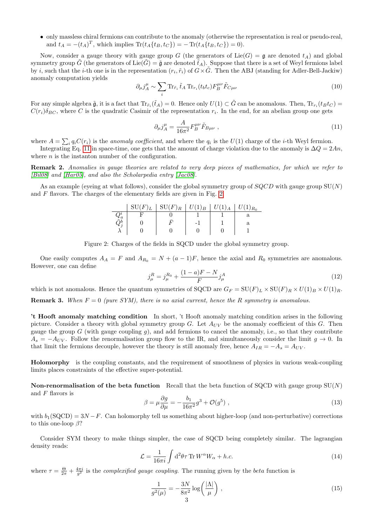• only massless chiral fermions can contribute to the anomaly (otherwise the representation is real or pseudo-real, and  $t_A = -(t_A)^T$ , which implies  $\text{Tr}(t_A\{t_B, t_C\}) = -\text{Tr}(t_A\{t_B, t_C\}) = 0$ .

Now, consider a gauge theory with gauge group G (the generators of  $Lie(G) = \mathfrak{g}$  are denoted  $t_A$ ) and global symmetry group  $\tilde{G}$  (the generators of Lie( $\tilde{G}$ ) =  $\tilde{\mathfrak{g}}$  are denoted  $\tilde{t}_A$ ). Suppose that there is a set of Weyl fermions label by *i*, such that the *i*-th one is in the representation  $(r_i, \tilde{r}_i)$  of  $G \times \tilde{G}$ . Then the ABJ (standing for Adler-Bell-Jackiw) anomaly computation yields

$$
\partial_{\mu} j_A^{\mu} \sim \sum_i \text{Tr}_{\tilde{r}_i} \tilde{t}_A \text{Tr}_{r_i}(t_b t_c) F_B^{\mu \nu} \tilde{F}_{C \mu \nu}
$$
\n(10)

For any simple algebra  $\tilde{\mathfrak{g}}$ , it is a fact that  $\text{Tr}_{\tilde{r}_i}(\tilde{t}_A) = 0$ . Hence only  $U(1) \subset \tilde{G}$  can be anomalous. Then,  $\text{Tr}_{r_i}(t_B t_C) =$  $C(r_i)\delta_{BC}$ , where C is the quadratic Casimir of the representation  $r_i$ . In the end, for an abelian group one gets

<span id="page-2-0"></span>
$$
\partial_{\mu}j_{A}^{\mu} = \frac{A}{16\pi^{2}}F_{B}^{\mu\nu}\tilde{F}_{B\mu\nu} \ , \tag{11}
$$

where  $A = \sum_i q_i C(r_i)$  is the anomaly coefficient, and where the  $q_i$  is the  $U(1)$  charge of the *i*-th Weyl fermion.

Integrating Eq. [11](#page-2-0) in space-time, one gets that the amount of charge violation due to the anomaly is  $\Delta Q = 2An$ , where  $n$  is the instanton number of the configuration.

Remark 2. Anomalies in gauge theories are related to very deep pieces of mathematics, for which we refer to [\[Bil08\]](#page-11-0) and [\[Har05\]](#page-11-1), and also the Scholarpedia entry [\[Jac08\]](#page-11-2).

As an example (eyeing at what follows), consider the global symmetry group of  $SQCD$  with gauge group  $SU(N)$ and  $F$  flavors. The charges of the elementary fields are given in Fig. [2.](#page-2-1)

|             | $\mathrm{SU}(F)_L$ | $SU(F)_R \mid U(1)_B$ | $ U(1)_{A}$ | $T^{\intercal}(1)_{R_0}$ |
|-------------|--------------------|-----------------------|-------------|--------------------------|
|             |                    |                       |             |                          |
| $\tilde{z}$ |                    |                       |             |                          |
|             |                    |                       |             |                          |

<span id="page-2-1"></span>Figure 2: Charges of the fields in SQCD under the global symmetry group.

One easily computes  $A_A = F$  and  $A_{R_0} = N + (a-1)F$ , hence the axial and  $R_0$  symmetries are anomalous. However, one can define

$$
j_{\mu}^{R} = j_{\mu}^{R_0} + \frac{(1-a)F - N}{F} j_{\mu}^{A}
$$
\n(12)

which is not anomalous. Hence the quantum symmetries of SQCD are  $G_F = SU(F)_L \times SU(F)_R \times U(1)_B \times U(1)_R$ .

**Remark 3.** When  $F = 0$  (pure SYM), there is no axial current, hence the R symmetry is anomalous.

't Hooft anomaly matching condition In short, 't Hooft anomaly matching condition arises in the following picture. Consider a theory with global symmetry group G. Let  $A_{UV}$  be the anomaly coefficient of this G. Then gauge the group  $G$  (with gauge coupling  $g$ ), and add fermions to cancel the anomaly, i.e., so that they contribute  $A_s = -A_{UV}$ . Follow the renormalisation group flow to the IR, and simultaneously consider the limit  $g \to 0$ . In that limit the fermions decouple, however the theory is still anomaly free, hence  $A_{IR} = -A_s = A_{UV}$ .

Holomorphy is the coupling constants, and the requirement of smoothness of physics in various weak-coupling limits places constraints of the effective super-potential.

Non-renormalisation of the beta function Recall that the beta function of SQCD with gauge group  $SU(N)$ and  $F$  flavors is

$$
\beta = \mu \frac{\partial g}{\partial \mu} = -\frac{b_1}{16\pi^2} g^3 + \mathcal{O}(g^5) \tag{13}
$$

with  $b_1(SQCD) = 3N - F$ . Can holomorphy tell us something about higher-loop (and non-perturbative) corrections to this one-loop  $\beta$ ?

Consider SYM theory to make things simpler, the case of SQCD being completely similar. The lagrangian density reads:

$$
\mathcal{L} = \frac{1}{16\pi i} \int d^2\theta \tau \, \text{Tr} \, W^\alpha W_\alpha + h.c.
$$
\n(14)

where  $\tau = \frac{\Theta}{2\pi} + \frac{4\pi i}{g^2}$  is the *complexified gauge coupling*. The running given by the *beta* function is

$$
\frac{1}{g^2(\mu)} = -\frac{3N}{8\pi^2} \log\left(\frac{|\Lambda|}{\mu}\right) ,\qquad (15)
$$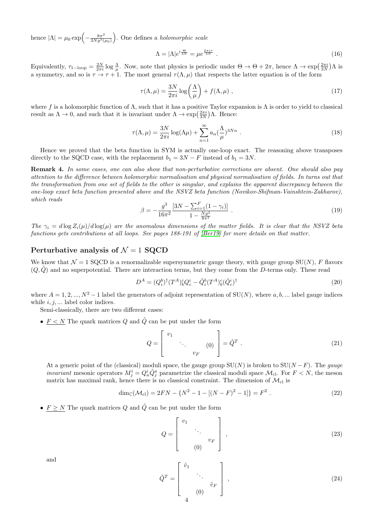hence  $|\Lambda| = \mu_0 \exp \left(-\frac{8\pi^2}{3Na^2} \right)$  $\frac{8\pi^2}{3Ng^2(\mu_0)}$ . One defines a *holomorphic scale* 

$$
\Lambda = |\Lambda|e^{i\frac{\Theta}{3N}} = \mu e^{\frac{2\pi i \tau}{3N}} \tag{16}
$$

Equivalently,  $\tau_{1-\text{loop}} = \frac{2N}{2\pi i} \log \frac{\Lambda}{\mu}$ . Now, note that physics is periodic under  $\Theta \to \Theta + 2\pi$ , hence  $\Lambda \to \exp\left(\frac{2\pi i}{3N}\right)\Lambda$  is a symmetry, and so is  $\tau \to \tau + 1$ . The most general  $\tau(\Lambda, \mu)$  that respects the latter equation is of the form

$$
\tau(\Lambda, \mu) = \frac{3N}{2\pi i} \log \left(\frac{\Lambda}{\mu}\right) + f(\Lambda, \mu) \tag{17}
$$

where f is a holomorphic function of  $\Lambda$ , such that it has a positive Taylor expansion is  $\Lambda$  is order to yield to classical result as  $\Lambda \to 0$ , and such that it is invariant under  $\Lambda \to \exp\left(\frac{2\pi i}{3N}\right)\Lambda$ . Hence:

$$
\tau(\Lambda, \mu) = \frac{3N}{2\pi i} \log(\Lambda \mu) + \sum_{n=1}^{\infty} a_n \left(\frac{\Lambda}{\mu}\right)^{3Nn} . \tag{18}
$$

Hence we proved that the beta function in SYM is actually one-loop exact. The reasoning above transposes directly to the SQCD case, with the replacement  $b_1 = 3N - F$  instead of  $b_1 = 3N$ .

Remark 4. In some cases, one can also show that non-perturbative corrections are absent. One should also pay attention to the difference between holomorphic normalisation and physical normalisation of fields. In turns out that the transformation from one set of fields to the other is singular, and explains the apparent discrepancy between the one-loop exact beta function presented above and the NSVZ beta function (Novikov-Shifman-Vainshtein-Zakharov), which reads

<span id="page-3-2"></span>
$$
\beta = -\frac{g^3}{16\pi^2} \frac{[3N - \sum_{i=1}^F (1 - \gamma_i)]}{1 - \frac{Ng^2}{8\pi^2}} \,. \tag{19}
$$

The  $\gamma_i = d \log Z_i(\mu) / d \log(\mu)$  are the anomalous dimensions of the matter fields. It is clear that the NSVZ beta functions gets contributions at all loops. See pages 188-191 of [\[Ber19\]](#page-11-3) for more details on that matter.

### Perturbative analysis of  $\mathcal{N} = 1$  SQCD

We know that  $\mathcal{N} = 1$  SQCD is a renormalizable supersymmetric gauge theory, with gauge group SU(N), F flavors  $(Q, \tilde{Q})$  and no superpotential. There are interaction terms, but they come from the D-terms only. These read

$$
D^{A} = (Q_{i}^{b})^{\dagger} (T^{A})^{c}_{b} Q_{c}^{i} - \tilde{Q}_{i}^{b} (T^{A})^{c}_{b} (\tilde{Q}_{c}^{i})^{\dagger}
$$
\n(20)

where  $A = 1, 2, ..., N^2 - 1$  label the generators of adjoint representation of  $SU(N)$ , where  $a, b, ...$  label gauge indices while  $i, j, \ldots$  label color indices.

Semi-classically, there are two different cases:

•  $F \lt N$  The quark matrices Q and  $\tilde{Q}$  can be put under the form

<span id="page-3-1"></span>
$$
Q = \begin{bmatrix} v_1 & & \\ & \ddots & \\ & & v_F \end{bmatrix} = \tilde{Q}^T . \tag{21}
$$

At a generic point of the (classical) moduli space, the gauge group  $SU(N)$  is broken to  $SU(N-F)$ . The gauge *invariant* mesonic operators  $M_j^i = Q_a^i \tilde{Q}_j^a$  parametrize the classical moduli space  $\mathcal{M}_{\text{cl}}$ . For  $F < N$ , the meson matrix has maximal rank, hence there is no classical constraint. The dimension of  $\mathcal{M}_{c}$  is

<span id="page-3-0"></span>
$$
\dim_{\mathbb{C}}(\mathcal{M}_{\text{cl}}) = 2FN - \{N^2 - 1 - [(N - F)^2 - 1]\} = F^2.
$$
\n(22)

•  $F \geq N$  The quark matrices Q and  $\tilde{Q}$  can be put under the form

$$
Q = \begin{bmatrix} v_1 & & & \\ & \ddots & & \\ & & v_F & \\ & & & (0) \end{bmatrix},
$$
 (23)

and

$$
\tilde{Q}^T = \begin{bmatrix} \tilde{v}_1 & & \\ & \ddots & \\ & & \tilde{v}_F \\ 0 & & & \end{bmatrix}, \qquad (24)
$$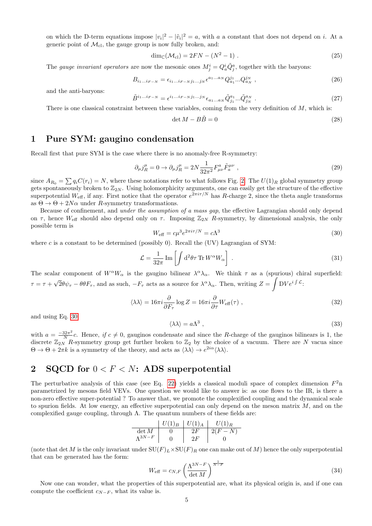on which the D-term equations impose  $|v_i|^2 - |\tilde{v}_i|^2 = a$ , with a a constant that does not depend on i. At a generic point of  $\mathcal{M}_{\text{cl}}$ , the gauge group is now fully broken, and:

$$
\dim_{\mathbb{C}}(\mathcal{M}_{\text{cl}}) = 2FN - (N^2 - 1) \ . \tag{25}
$$

The gauge invariant operators are now the mesonic ones  $M_j^i = Q_a^i \tilde{Q}_j^a$ , together with the baryons:

$$
B_{i_1...i_{F-N}} = \epsilon_{i_1...i_{F-N}j_1...j_N} \epsilon^{a_1...a_N} Q_{a_1}^{j_1}...Q_{a_N}^{j_N} \t{,} \t{(26)}
$$

and the anti-baryons:

$$
\tilde{B}^{i_1...i_{F-N}} = \epsilon^{i_1...i_{F-N}j_1...j_N} \epsilon_{a_1...a_N} \tilde{Q}_{j_1}^{a_1} ... \tilde{Q}_{j_N}^{a_N} .
$$
\n(27)

There is one classical constraint between these variables, coming from the very definition of  $M$ , which is:

$$
\det M - B\tilde{B} = 0\tag{28}
$$

### 1 Pure SYM: gaugino condensation

Recall first that pure SYM is the case where there is no anomaly-free R-symmetry:

$$
\partial_{\mu}j_{R}^{\mu} = 0 \to \partial_{\mu}j_{R}^{\mu} = 2N \frac{1}{32\pi^{2}} F_{\mu\nu}^{a} \tilde{F}_{a}^{\mu\nu} , \qquad (29)
$$

since  $A_{R_0} = \sum q_i C(r_i) = N$ , where these notations refer to what follows Fig. [2.](#page-2-1) The  $U(1)_R$  global symmetry group gets spontaneously broken to  $\mathbb{Z}_{2N}$ . Using holomorphicity arguments, one can easily get the structure of the effective superpotential  $W_{\text{eff}}$ , if any. First notice that the operator  $e^{2\pi i\tau/N}$  has R-charge 2, since the theta angle transforms as  $\Theta \to \Theta + 2N\alpha$  under R-symmetry transformations.

Because of confinement, and under the assumption of a mass gap, the effective Lagrangian should only depend on  $\tau$ , hence W<sub>eff</sub> should also depend only on  $\tau$ . Imposing  $\mathbb{Z}_{2N}$  R-symmetry, by dimensional analysis, the only possible term is

<span id="page-4-0"></span>
$$
W_{\text{eff}} = c\mu^3 e^{2\pi i \tau/N} = c\Lambda^3 \tag{30}
$$

where c is a constant to be determined (possibly 0). Recall the  $(UV)$  Lagrangian of SYM:

$$
\mathcal{L} = \frac{1}{32\pi} \operatorname{Im} \left[ \int d^2 \theta \tau \operatorname{Tr} W^{\alpha} W_{\alpha} \right] . \tag{31}
$$

The scalar component of  $W^{\alpha}W_{\alpha}$  is the gaugino bilinear  $\lambda^{\alpha}\lambda_{\alpha}$ . We think  $\tau$  as a (spurious) chiral superfield:  $\tau = \tau +$ √  $\overline{2}\theta\psi_{\tau}-\theta\theta F_{\tau}$ , and as such,  $-F_{\tau}$  acts as a source for  $\lambda^{\alpha}\lambda_{\alpha}$ . Then, writing  $Z=\int DV e^{i\int \mathcal{L}}$ .

$$
\langle \lambda \lambda \rangle = 16\pi i \frac{\partial}{\partial F_{\tau}} \log Z = 16\pi i \frac{\partial}{\partial \tau} W_{\text{eff}}(\tau) , \qquad (32)
$$

and using Eq. [30:](#page-4-0)

$$
\langle \lambda \lambda \rangle = a\Lambda^3 \tag{33}
$$

with  $a = \frac{-32\pi^2}{N}$  $\frac{32\pi^2}{N}c$ . Hence, if  $c \neq 0$ , gauginos condensate and since the R-charge of the gauginos bilinears is 1, the discrete  $\mathbb{Z}_{2N}$  R-symmetry group get further broken to  $\mathbb{Z}_2$  by the choice of a vacuum. There are N vacua since  $\Theta \to \Theta + 2\pi k$  is a symmetry of the theory, and acts as  $\langle \lambda \lambda \rangle \to e^{2i\alpha} \langle \lambda \lambda \rangle$ .

# 2 SQCD for  $0 < F < N$ : ADS superpotential

The perturbative analysis of this case (see Eq. [22\)](#page-3-0) yields a classical moduli space of complex dimension  $F^2$ n parametrized by mesons field VEVs. One question we would like to answer is: as one flows to the IR, is there a non-zero effective super-potential ? To answer that, we promote the complexified coupling and the dynamical scale to spurion fields. At low energy, an effective superpotential can only depend on the meson matrix  $M$ , and on the complexified gauge coupling, through  $\Lambda$ . The quantum numbers of these fields are:

$$
\begin{array}{c|c|c|c} & U(1)_B & U(1)_A & U(1)_R \\ \hline \det M & 0 & 2F & 2(F - N) \\ \Lambda^{3N-F} & 0 & 2F & 0 \end{array}
$$

(note that det M is the only invariant under  $SU(F)_L \times SU(F)_R$  one can make out of M) hence the only superpotential that can be generated has the form:

$$
W_{\text{eff}} = c_{N,F} \left(\frac{\Lambda^{3N-F}}{\det M}\right)^{\frac{1}{N-F}}
$$
\n(34)

Now one can wonder, what the properties of this superpotential are, what its physical origin is, and if one can compute the coefficient  $c_{N-F}$ , what its value is.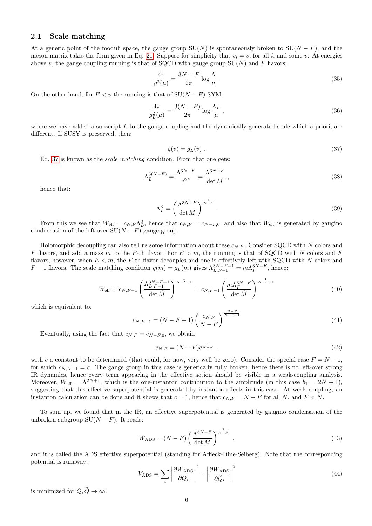### 2.1 Scale matching

At a generic point of the moduli space, the gauge group  $SU(N)$  is spontaneously broken to  $SU(N-F)$ , and the meson matrix takes the form given in Eq. [21.](#page-3-1) Suppose for simplicity that  $v_i = v$ , for all i, and some v. At energies above v, the gauge coupling running is that of SQCD with gauge group  $SU(N)$  and F flavors:

$$
\frac{4\pi}{g^2(\mu)} = \frac{3N - F}{2\pi} \log \frac{\Lambda}{\mu} \tag{35}
$$

On the other hand, for  $E < v$  the running is that of  $SU(N - F)$  SYM:

$$
\frac{4\pi}{g_L^2(\mu)} = \frac{3(N-F)}{2\pi} \log \frac{\Lambda_L}{\mu} \tag{36}
$$

where we have added a subscript  $L$  to the gauge coupling and the dynamically generated scale which a priori, are different. If SUSY is preserved, then:

<span id="page-5-0"></span>
$$
g(v) = g_L(v) . \tag{37}
$$

Eq. [37](#page-5-0) is known as the scale matching condition. From that one gets:

$$
\Lambda_L^{3(N-F)} = \frac{\Lambda^{3N-F}}{v^{2F}} = \frac{\Lambda^{3N-F}}{\det M} \,, \tag{38}
$$

hence that:

$$
\Lambda_L^3 = \left(\frac{\Lambda^{3N-F}}{\det M}\right)^{\frac{1}{N-F}}.\tag{39}
$$

From this we see that  $W_{\text{eff}} = c_{N,F} \Lambda_L^3$ , hence that  $c_{N,F} = c_{N-F,0}$ , and also that  $W_{\text{eff}}$  is generated by gaugino condensation of the left-over  $SU(N - F)$  gauge group.

Holomorphic decoupling can also tell us some information about these  $c_{N,F}$ . Consider SQCD with N colors and F flavors, and add a mass m to the F-th flavor. For  $E > m$ , the running is that of SQCD with N colors and F flavors, however, when  $E < m$ , the F-th flavor decouples and one is effectively left with SQCD with N colors and F – 1 flavors. The scale matching condition  $g(m) = g_L(m)$  gives  $\Lambda_{L,F-1}^{3N-F-1} = m \Lambda_F^{3N-F}$ , hence:

$$
W_{\text{eff}} = c_{N,F-1} \left( \frac{\Lambda_{L,F-1}^{3N-F+1}}{\det \tilde{M}} \right)^{\frac{1}{N-F+1}} = c_{N,F-1} \left( \frac{m \Lambda_F^{3N-F}}{\det \tilde{M}} \right)^{\frac{1}{N-F+1}}
$$
(40)

which is equivalent to:

$$
c_{N,F-1} = (N - F + 1) \left(\frac{c_{N,F}}{N - F}\right)^{\frac{N - F}{N - F + 1}}
$$
\n(41)

Eventually, using the fact that  $c_{N,F} = c_{N-F,0}$ , we obtain

$$
c_{N,F} = (N-F)c^{\frac{1}{N-F}},\tag{42}
$$

with c a constant to be determined (that could, for now, very well be zero). Consider the special case  $F = N - 1$ . for which  $c_{N,N-1} = c$ . The gauge group in this case is generically fully broken, hence there is no left-over strong IR dynamics, hence every term appearing in the effective action should be visible in a weak-coupling analysis. Moreover,  $W_{\text{eff}} = \Lambda^{2N+1}$ , which is the one-instanton contribution to the amplitude (in this case  $b_1 = 2N + 1$ ), suggesting that this effective superpotential is generated by instanton effects in this case. At weak coupling, an instanton calculation can be done and it shows that  $c = 1$ , hence that  $c_{N,F} = N - F$  for all N, and  $F \le N$ .

To sum up, we found that in the IR, an effective superpotential is generated by gaugino condensation of the unbroken subgroup  $SU(N - F)$ . It reads:

<span id="page-5-1"></span>
$$
W_{\rm ADS} = (N - F) \left(\frac{\Lambda^{3N - F}}{\det M}\right)^{\frac{1}{N - F}}, \qquad (43)
$$

and it is called the ADS effective superpotential (standing for Affleck-Dine-Seiberg). Note that the corresponding potential is runaway:

$$
V_{\rm ADS} = \sum_{i} \left| \frac{\partial W_{\rm ADS}}{\partial Q_i} \right|^2 + \left| \frac{\partial W_{\rm ADS}}{\partial \tilde{Q}_i} \right|^2 \tag{44}
$$

is minimized for  $Q, \tilde{Q} \to \infty$ .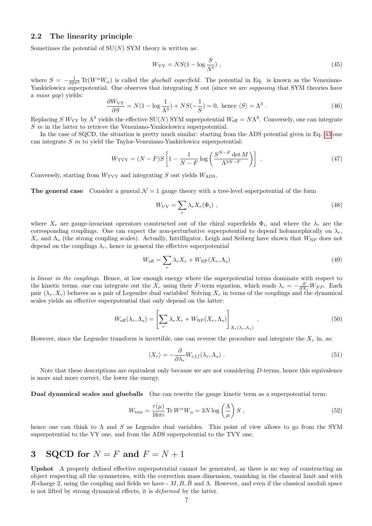### 2.2 The linearity principle

Sometimes the potential of  $SU(N)$  SYM theory is written as:

$$
W_{\rm{VY}} = NS(1 - \log \frac{S}{\Lambda^3}),\tag{45}
$$

where  $S = -\frac{1}{32\pi^2} \text{Tr}(W^{\alpha}W_{\alpha})$  is called the *glueball superfield*. The potential in Eq. is known as the Veneziano-Yankielowicz superpotential. One observes that integrating  $S$  out (since we are *supposing* that SYM theories have a mass gap) yields:

$$
\frac{\partial W_{\rm{VY}}}{\partial S} = N(1 - \log \frac{1}{\Lambda^3}) + NS(-\frac{1}{S}) = 0, \text{ hence } \langle S \rangle = \Lambda^3. \tag{46}
$$

Replacing S  $W_{VY}$  by  $\Lambda^3$  yields the effective SU(N) SYM superpotential  $W_{\text{eff}} = N\Lambda^3$ . Conversely, one can integrate S in in the latter to retrieve the Veneziano-Yankielowicz superpotential.

In the case of SQCD, the situation is pretty much similar: starting from the ADS potential given in Eq. [43](#page-5-1) one can integrate S in to yield the Taylor-Veneziano-Yankielowicz superpotential:

$$
W_{\text{TVY}} = (N - F)S \left[ 1 - \frac{1}{N - F} \log \left( \frac{S^{N - F} \det M}{\Lambda^{3N - F}} \right) \right] \tag{47}
$$

Conversely, starting from  $W_{\text{TVV}}$  and integrating S out yields  $W_{\text{ADS}}$ .

**The general case** Consider a general  $\mathcal{N} = 1$  gauge theory with a tree-level superpotential of the form

$$
W_{\rm UV} = \sum_{r} \lambda_r X_r(\Phi_i) \tag{48}
$$

where  $X_r$  are gauge-invariant operators constructed out of the chiral superfields  $\Phi_i$ , and where the  $\lambda_r$  are the corresponding couplings. One can expect the non-perturbative superpotential to depend holomorphically on  $\lambda_r$ ,  $X_r$  and  $\Lambda_s$  (the strong coupling scales). Actually, Intrilligator, Leigh and Seiberg have shown that  $W_{\rm NP}$  does not depend on the couplings  $\lambda_r$ , hence in general the effective superpotential

$$
W_{\text{eff}} = \sum_{r} \lambda_r X_r + W_{\text{NP}}(X_r, \Lambda_s) \tag{49}
$$

is linear in the couplings. Hence, at low enough energy where the superpotential terms dominate with respect to the kinetic terms, one can integrate out the  $X_r$  using their F-term equation, which reads  $\lambda_r = -\frac{\partial}{\partial X_r} W_{NP}$ . Each pair  $(\lambda_r, X_r)$  behaves as a pair of Legendre dual variables! Solving  $X_r$  in terms of the couplings and the dynamical scales yields an effective superpotential that only depend on the latter:

$$
W_{\text{eff}}(\lambda_r, \Lambda_s) = \left[ \sum_r \lambda_r X_r + W_{\text{NP}}(X_r, \Lambda_s) \right]_{X_r(\lambda_r, \Lambda_s)}.
$$
\n
$$
(50)
$$

However, since the Legendre transform is invertible, one can reverse the procedure and integrate the  $X_r$  in, as:

$$
\langle X_r \rangle = -\frac{\partial}{\partial \lambda_r} W_{eff}(\lambda_r, \Lambda_s) \tag{51}
$$

Note that these descriptions are equivalent only because we are not considering D-terms, hence this equivalence is more and more correct, the lower the energy.

Dual dynamical scales and glueballs One can rewrite the gauge kinetic term as a superpotential term:

$$
W_{\text{tree}} = \frac{\tau(\mu)}{16\pi i} \operatorname{Tr} W^{\alpha} W_{\alpha} = 3N \log \left(\frac{\Lambda}{\mu}\right) S , \qquad (52)
$$

hence one can think to  $\Lambda$  and S as Legendre dual variables. This point of view allows to go from the SYM superpotential to the VY one, and from the ADS superpotential to the TVY one.

# 3 SQCD for  $N = F$  and  $F = N + 1$

Upshot A properly defined effective superpotential cannot be generated, as there is no way of constructing an object respecting all the symmetries, with the correction mass dimension, vanishing in the classical limit and with R-charge 2, using the coupling and fields we have -  $M, B, \dot{B}$  and  $\Lambda$ . However, and even if the classical moduli space is not lifted by strong dynamical effects, it is deformed by the latter.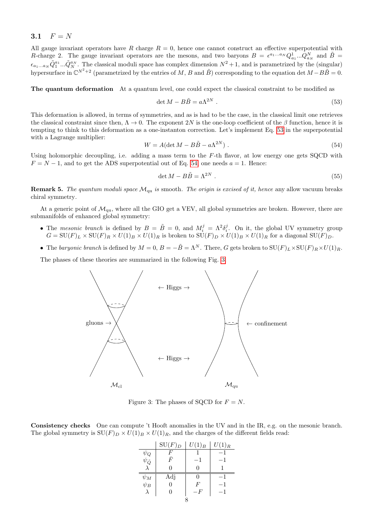### 3.1  $F = N$

All gauge invariant operators have R charge  $R = 0$ , hence one cannot construct an effective superpotential with R-charge 2. The gauge invariant operators are the mesons, and two baryons  $B = \epsilon^{a_1...a_N} Q_{a_1}^1...Q_{a_N}^N$  and  $\tilde{B} =$  $\epsilon_{a_1...a_N}\tilde{Q}_1^{a_1}...\tilde{Q}_N^{a_N}$ . The classical moduli space has complex dimension  $N^2+1$ , and is parametrized by the (singular) hypersurface in  $\mathbb{C}^{N^2+2}$  (parametrized by the entries of M, B and  $\tilde{B}$ ) corresponding to the equation det  $M-B\tilde{B}=0$ .

The quantum deformation At a quantum level, one could expect the classical constraint to be modified as

<span id="page-7-0"></span>
$$
\det M - B\tilde{B} = a\Lambda^{2N} . \tag{53}
$$

This deformation is allowed, in terms of symmetries, and as is had to be the case, in the classical limit one retrieves the classical constraint since then,  $\Lambda \to 0$ . The exponent 2N is the one-loop coefficient of the  $\beta$  function, hence it is tempting to think to this deformation as a one-instanton correction. Let's implement Eq. [53](#page-7-0) in the superpotential with a Lagrange multiplier:

<span id="page-7-1"></span>
$$
W = A(\det M - B\tilde{B} - a\Lambda^{2N}).
$$
\n(54)

Using holomorphic decoupling, i.e. adding a mass term to the  $F$ -th flavor, at low energy one gets SQCD with  $F = N - 1$ , and to get the ADS superpotential out of Eq. [54,](#page-7-1) one needs  $a = 1$ . Hence:

<span id="page-7-3"></span>
$$
\det M - B\tilde{B} = \Lambda^{2N} . \tag{55}
$$

**Remark 5.** The quantum moduli space  $\mathcal{M}_{qu}$  is smooth. The origin is excised of it, hence any allow vacuum breaks chiral symmetry.

At a generic point of  $\mathcal{M}_{\text{qu}}$ , where all the GIO get a VEV, all global symmetries are broken. However, there are submanifolds of enhanced global symmetry:

- The mesonic branch is defined by  $B = \tilde{B} = 0$ , and  $M_i^j = \Lambda^2 \delta_i^j$ . On it, the global UV symmetry group  $G = \mathrm{SU}(F)_L \times \mathrm{SU}(F)_R \times U(1)_B \times U(1)_R$  is broken to  $\mathrm{SU}(F)_D \times U(1)_B \times U(1)_R$  for a diagonal  $\mathrm{SU}(F)_D$ .
- The baryonic branch is defined by  $M = 0$ ,  $B = -\tilde{B} = \Lambda^N$ . There, G gets broken to  $SU(F)_L \times SU(F)_R \times U(1)_R$ .

The phases of these theories are summarized in the following Fig. [3.](#page-7-2)



<span id="page-7-2"></span>Figure 3: The phases of SQCD for  $F = N$ .

Consistency checks One can compute 't Hooft anomalies in the UV and in the IR, e.g. on the mesonic branch. The global symmetry is  $SU(F)_D \times U(1)_B \times U(1)_R$ , and the charges of the different fields read:

|                                | $\mathrm{SU}(F)_D$ | $U(1)_B$ | $U(1)_R$ |  |  |  |  |
|--------------------------------|--------------------|----------|----------|--|--|--|--|
|                                | F                  |          |          |  |  |  |  |
| $\psi_Q$<br>$\psi_{\tilde{Q}}$ | F                  |          |          |  |  |  |  |
|                                | 0                  | 0        |          |  |  |  |  |
| $\psi_M$                       | Adj                | 0        |          |  |  |  |  |
| $\psi_B$                       | 0                  | F        |          |  |  |  |  |
| $\lambda$                      | 0                  | F        |          |  |  |  |  |
|                                |                    |          |          |  |  |  |  |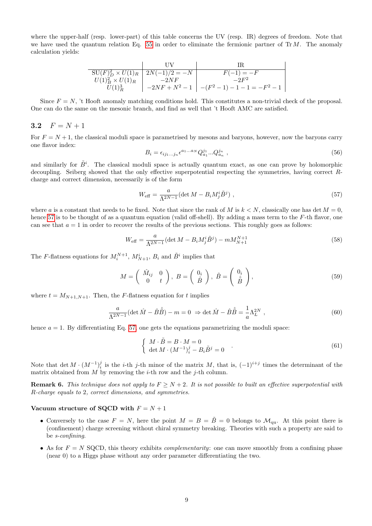where the upper-half (resp. lower-part) of this table concerns the UV (resp. IR) degrees of freedom. Note that we have used the quantum relation Eq. [55](#page-7-3) in order to eliminate the fermionic partner of  $Tr M$ . The anomaly calculation yields:

$$
\begin{array}{c|c|c} & & & \text{UV} & & \text{IR} \\ \hline \text{SU}(F)_D^2 \times U(1)_R & 2N(-1)/2 = -N & & F(-1) = -F \\ U(1)_B^2 \times U(1)_R & -2NF & -2F^2 \\ \hline U(1)_R^3 & -2NF + N^2 - 1 & -(F^2 - 1) - 1 - 1 = -F^2 - 1 \end{array}
$$

Since  $F = N$ , 't Hooft anomaly matching conditions hold. This constitutes a non-trivial check of the proposal. One can do the same on the mesonic branch, and find as well that 't Hooft AMC are satisfied.

### 3.2  $F = N + 1$

For  $F = N + 1$ , the classical moduli space is parametrised by mesons and baryons, however, now the baryons carry one flavor index:

$$
B_i = \epsilon_{ij_1...j_n} \epsilon^{a_1...a_N} Q_{a_1}^{j_1} ... Q_{a_n}^{j_n} \t{,} \t(56)
$$

and similarly for  $\tilde{B}^i$ . The classical moduli space is actually quantum exact, as one can prove by holomorphic decoupling. Seiberg showed that the only effective superpotential respecting the symmetries, having correct Rcharge and correct dimension, necessarily is of the form

<span id="page-8-0"></span>
$$
W_{\text{eff}} = \frac{a}{\Lambda^{2N-1}} (\det M - B_i M_j^i \tilde{B}^j) , \qquad (57)
$$

where a is a constant that needs to be fixed. Note that since the rank of M is  $k < N$ , classically one has det  $M = 0$ , hence [57](#page-8-0) is to be thought of as a quantum equation (valid off-shell). By adding a mass term to the F-th flavor, one can see that  $a = 1$  in order to recover the results of the previous sections. This roughly goes as follows:

$$
W_{\text{eff}} = \frac{a}{\Lambda^{2N-1}} (\det M - B_i M_j^i \tilde{B}^j) - m M_{N+1}^{N+1}
$$
\n(58)

The *F*-flatness equations for  $M_i^{N+1}$ ,  $M_{N+1}^i$ ,  $B_i$  and  $\tilde{B}^i$  implies that

$$
M = \begin{pmatrix} \hat{M}_{ij} & 0\\ 0 & t \end{pmatrix}, B = \begin{pmatrix} 0_i\\ \hat{B} \end{pmatrix}, \tilde{B} = \begin{pmatrix} 0_i\\ \hat{B} \end{pmatrix},
$$
\n(59)

where  $t = M_{N+1,N+1}$ . Then, the F-flatness equation for t implies

$$
\frac{a}{\Lambda^{2N-1}}(\det \hat{M} - \hat{B}\hat{\tilde{B}}) - m = 0 \Rightarrow \det \hat{M} - \hat{B}\hat{\tilde{B}} = \frac{1}{a}\Lambda_L^{2N} ,
$$
\n(60)

hence  $a = 1$ . By differentiating Eq. [57,](#page-8-0) one gets the equations parametrizing the moduli space:

$$
\begin{cases}\nM \cdot \tilde{B} = B \cdot M = 0 \\
\det M \cdot (M^{-1})_i^j - B_i \tilde{B}^j = 0\n\end{cases} (61)
$$

Note that  $\det M \cdot (M^{-1})_i^j$  is the *i*-th *j*-th minor of the matrix M, that is,  $(-1)^{i+j}$  times the determinant of the matrix obtained from  $M$  by removing the *i*-th row and the *j*-th column.

**Remark 6.** This technique does not apply to  $F \ge N + 2$ . It is not possible to built an effective superpotential with R-charge equals to 2, correct dimensions, and symmetries.

#### Vacuum structure of SQCD with  $F = N + 1$

- Conversely to the case  $F = N$ , here the point  $M = B = \tilde{B} = 0$  belongs to  $\mathcal{M}_{qu}$ . At this point there is (confinement) charge screening without chiral symmetry breaking. Theories with such a property are said to be s-confining.
- As for  $F = N$  SQCD, this theory exhibits *complementarity*: one can move smoothly from a confining phase (near 0) to a Higgs phase without any order parameter differentiating the two.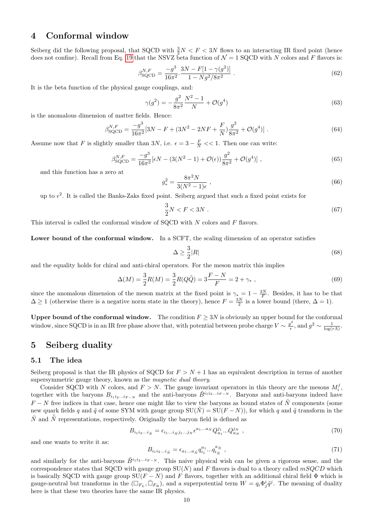# 4 Conformal window

Seiberg did the following proposal, that SQCD with  $\frac{3}{2}N < F < 3N$  flows to an interacting IR fixed point (hence does not confine). Recall from Eq. [19](#page-3-2) that the NSVZ beta function of  $\mathcal{N} = 1$  SQCD with N colors and F flavors is:

$$
\beta_{\text{SQCD}}^{N,F} = \frac{-g^3}{16\pi^2} \cdot \frac{3N - F[1 - \gamma(g^2)]}{1 - Ng^2/8\pi^2} \,. \tag{62}
$$

It is the beta function of the physical gauge couplings, and:

$$
\gamma(g^2) = -\frac{g^2}{8\pi^2} \frac{N^2 - 1}{N} + \mathcal{O}(g^4)
$$
\n(63)

is the anomalous dimension of matter fields. Hence:

$$
\beta_{\text{SQCD}}^{N,F} = \frac{-g^3}{16\pi^2} [3N - F + (3N^2 - 2NF + \frac{F}{N})\frac{g^2}{8\pi^2} + \mathcal{O}(g^4)] \tag{64}
$$

Assume now that F is slightly smaller than 3N, i.e.  $\epsilon = 3 - \frac{F}{N} \ll 1$ . Then one can write:

$$
\beta_{\text{SQCD}}^{N,F} = \frac{-g^3}{16\pi^2} [\epsilon N - (3(N^2 - 1) + \mathcal{O}(\epsilon)) \frac{g^2}{8\pi^2} + \mathcal{O}(g^4)] \tag{65}
$$

and this function has a zero at

$$
g_*^2 = \frac{8\pi^2 N}{3(N^2 - 1)\epsilon} \,,\tag{66}
$$

up to  $\epsilon^2$ . It is called the Banks-Zaks fixed point. Seiberg argued that such a fixed point exists for

<span id="page-9-0"></span>
$$
\frac{3}{2}N < F < 3N \tag{67}
$$

This interval is called the conformal window of SQCD with  $N$  colors and  $F$  flavors.

Lower bound of the conformal window. In a SCFT, the scaling dimension of an operator satisfies

$$
\Delta \ge \frac{3}{2}|R|\tag{68}
$$

and the equality holds for chiral and anti-chiral operators. For the meson matrix this implies

$$
\Delta(M) = \frac{3}{2}R(M) = \frac{3}{2}R(Q\tilde{Q}) = 3\frac{F - N}{F} = 2 + \gamma_*,\tag{69}
$$

since the anomalous dimension of the meson matrix at the fixed point is  $\gamma_* = 1 - \frac{3N}{F}$ . Besides, it has to be that  $\Delta \geq 1$  (otherwise there is a negative norm state in the theory), hence  $F = \frac{3N}{2}$  is a lower bound (there,  $\Delta = 1$ ).

Upper bound of the conformal window. The condition  $F \geq 3N$  is obviously an upper bound for the conformal window, since SQCD is in an IR free phase above that, with potential between probe charge  $V \sim \frac{g^2}{r}$  $\frac{g^2}{r}$ , and  $g^2 \sim \frac{1}{\log(r\Lambda)}$ .

### 5 Seiberg duality

#### 5.1 The idea

Seiberg proposal is that the IR physics of SQCD for  $F > N + 1$  has an equivalent description in terms of another supersymmetric gauge theory, known as the *magnetic dual theory*.

Consider SQCD with N colors, and  $F > N$ . The gauge invariant operators in this theory are the mesons  $M_i^j$ , together with the baryons  $B_{i_1i_2...i_{F-N}}$  and the anti-baryons  $\tilde{B}^{i_1i_2...i_{F-N}}$ . Baryons and anti-baryons indeed have  $F - N$  free indices in that case, hence one might like to view the baryons as bound states of  $\tilde{N}$  components (some new quark fields q and  $\tilde{q}$  of some SYM with gauge group  $SU(\tilde{N}) = SU(F - N)$ , for which q and  $\tilde{q}$  transform in the  $\tilde{N}$  and  $\overline{\tilde{N}}$  representations, respectively. Originally the baryon field is defined as

$$
B_{i_1 i_2 \dots i_{\tilde{N}}} = \epsilon_{i_1 \dots i_{\tilde{N}} j_1 \dots j_N} \epsilon^{a_1 \dots a_N} Q_{a_1}^{j_1} \dots Q_{a_N}^{j_N} , \qquad (70)
$$

and one wants to write it as:

$$
B_{i_1 i_2 \dots i_{\tilde{N}}} = \epsilon_{a_1 \dots a_{\tilde{N}}} q_{i_1}^{a_1} \dots q_{i_{\tilde{N}}}^{a_{\tilde{N}}}, \qquad (71)
$$

and similarly for the anti-baryons  $\tilde{B}^{i_1i_2...i_{F-N}}$ . This naive physical wish can be given a rigorous sense, and the correspondence states that SQCD with gauge group  $SU(N)$  and F flavors is dual to a theory called  $mSQCD$  which is basically SQCD with gauge group  $SU(F - N)$  and F flavors, together with an additional chiral field  $\Phi$  which is gauge-neutral but transforms in the  $(\Box_{F_L}, \bar{\Box}_{F_R})$ , and a superpotential term  $W = q_i \Phi_j^i \tilde{q}^j$ . The meaning of duality here is that these two theories have the same IR physics.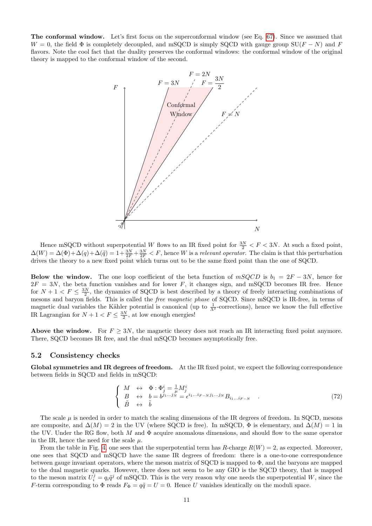The conformal window. Let's first focus on the superconformal window (see Eq. [67\)](#page-9-0). Since we assumed that  $W = 0$ , the field  $\Phi$  is completely decoupled, and mSQCD is simply SQCD with gauge group SU(F – N) and F flavors. Note the cool fact that the duality preserves the conformal windows: the conformal window of the original theory is mapped to the conformal window of the second.



Hence mSQCD without superpotential W flows to an IR fixed point for  $\frac{3N}{2} < F < 3N$ . At such a fixed point,  $\Delta(W) = \Delta(\Phi) + \Delta(q) + \Delta(\tilde{q}) = 1 + \frac{3N}{2F} + \frac{3N}{2F} < F$ , hence W is a relevant operator. The claim is that this perturbation drives the theory to a new fixed point which turns out to be the same fixed point than the one of SQCD.

Below the window. The one loop coefficient of the beta function of  $mSQCD$  is  $b_1 = 2F - 3N$ , hence for  $2F = 3N$ , the beta function vanishes and for lower F, it changes sign, and mSQCD becomes IR free. Hence for  $N+1 < F \leq \frac{3N}{2}$ , the dynamics of SQCD is best described by a theory of freely interacting combinations of mesons and baryon fields. This is called the free magnetic phase of SQCD. Since mSQCD is IR-free, in terms of magnetic dual variables the Kähler potential is canonical (up to  $\frac{1}{\Lambda^2}$ -corrections), hence we know the full effective IR Lagrangian for  $N + 1 < F \leq \frac{3N}{2}$ , at low enough energies!

Above the window. For  $F \geq 3N$ , the magnetic theory does not reach an IR interacting fixed point anymore. There, SQCD becomes IR free, and the dual mSQCD becomes asymptotically free.

#### 5.2 Consistency checks

Global symmetries and IR degrees of freedom. At the IR fixed point, we expect the following correspondence between fields in SQCD and fields in mSQCD:

$$
\begin{cases}\nM \leftrightarrow \Phi : \Phi_j^i = \frac{1}{\mu} M_j^i \\
B \leftrightarrow b = b^{j_1...j_N} = \epsilon^{i_1...i_{F-N}j_1...j_N} B_{i_1...i_{F-N}} \\
\tilde{B} \leftrightarrow \tilde{b}\n\end{cases} (72)
$$

The scale  $\mu$  is needed in order to match the scaling dimensions of the IR degrees of freedom. In SQCD, mesons are composite, and  $\Delta(M) = 2$  in the UV (where SQCD is free). In mSQCD,  $\Phi$  is elementary, and  $\Delta(M) = 1$  in the UV. Under the RG flow, both M and  $\Phi$  acquire anomalous dimensions, and should flow to the same operator in the IR, hence the need for the scale  $\mu$ .

From the table in Fig. [4,](#page-11-4) one sees that the superpotential term has R-charge  $R(W) = 2$ , as expected. Moreover, one sees that SQCD and mSQCD have the same IR degrees of freedom: there is a one-to-one correspondence between gauge invariant operators, where the meson matrix of SQCD is mapped to Φ, and the baryons are mapped to the dual magnetic quarks. However, there does not seem to be any GIO is the SQCD theory, that is mapped to the meson matrix  $U_i^j = q_i \tilde{q}^j$  of mSQCD. This is the very reason why one needs the superpotential W, since the F-term corresponding to  $\Phi$  reads  $F_{\Phi} = q\tilde{q} = U = 0$ . Hence U vanishes identically on the moduli space.